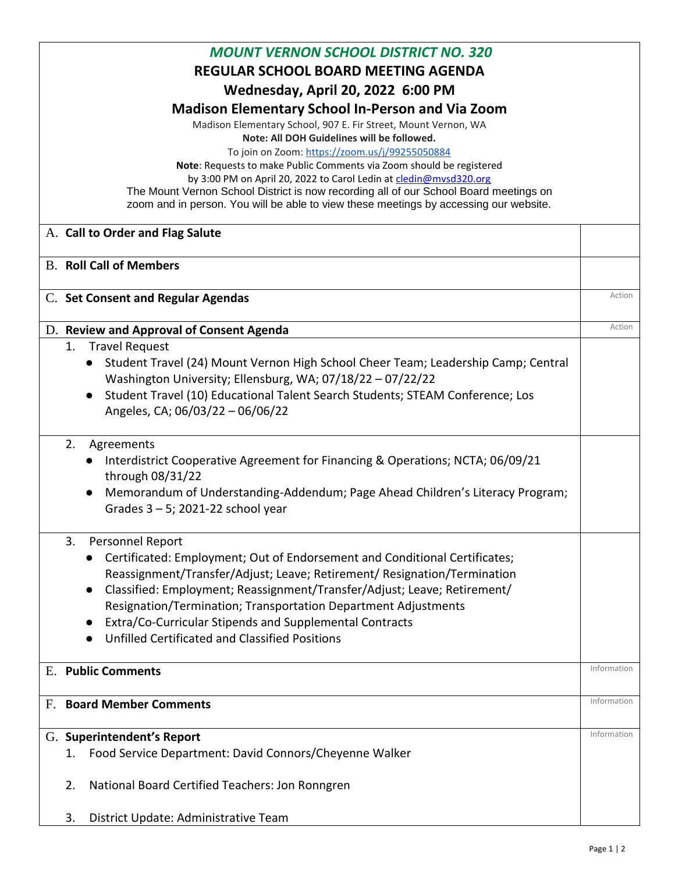| <b>MOUNT VERNON SCHOOL DISTRICT NO. 320</b><br><b>REGULAR SCHOOL BOARD MEETING AGENDA</b><br>Wednesday, April 20, 2022 6:00 PM<br><b>Madison Elementary School In-Person and Via Zoom</b><br>Madison Elementary School, 907 E. Fir Street, Mount Vernon, WA<br>Note: All DOH Guidelines will be followed.<br>To join on Zoom: https://zoom.us/j/99255050884<br>Note: Requests to make Public Comments via Zoom should be registered<br>by 3:00 PM on April 20, 2022 to Carol Ledin at cledin@mvsd320.org<br>The Mount Vernon School District is now recording all of our School Board meetings on<br>zoom and in person. You will be able to view these meetings by accessing our website. |             |
|--------------------------------------------------------------------------------------------------------------------------------------------------------------------------------------------------------------------------------------------------------------------------------------------------------------------------------------------------------------------------------------------------------------------------------------------------------------------------------------------------------------------------------------------------------------------------------------------------------------------------------------------------------------------------------------------|-------------|
| A. Call to Order and Flag Salute                                                                                                                                                                                                                                                                                                                                                                                                                                                                                                                                                                                                                                                           |             |
| <b>B. Roll Call of Members</b>                                                                                                                                                                                                                                                                                                                                                                                                                                                                                                                                                                                                                                                             |             |
| C. Set Consent and Regular Agendas                                                                                                                                                                                                                                                                                                                                                                                                                                                                                                                                                                                                                                                         | Action      |
| D. Review and Approval of Consent Agenda                                                                                                                                                                                                                                                                                                                                                                                                                                                                                                                                                                                                                                                   | Action      |
| <b>Travel Request</b><br>1.<br>Student Travel (24) Mount Vernon High School Cheer Team; Leadership Camp; Central<br>Washington University; Ellensburg, WA; 07/18/22 - 07/22/22<br>Student Travel (10) Educational Talent Search Students; STEAM Conference; Los<br>Angeles, CA; 06/03/22 - 06/06/22                                                                                                                                                                                                                                                                                                                                                                                        |             |
| 2.<br>Agreements<br>Interdistrict Cooperative Agreement for Financing & Operations; NCTA; 06/09/21<br>through 08/31/22<br>Memorandum of Understanding-Addendum; Page Ahead Children's Literacy Program;<br>Grades $3 - 5$ ; 2021-22 school year                                                                                                                                                                                                                                                                                                                                                                                                                                            |             |
| 3.<br>Personnel Report<br>Certificated: Employment; Out of Endorsement and Conditional Certificates;<br>Reassignment/Transfer/Adjust; Leave; Retirement/ Resignation/Termination<br>Classified: Employment; Reassignment/Transfer/Adjust; Leave; Retirement/<br>Resignation/Termination; Transportation Department Adjustments<br>Extra/Co-Curricular Stipends and Supplemental Contracts<br>Unfilled Certificated and Classified Positions                                                                                                                                                                                                                                                |             |
| <b>E.</b> Public Comments                                                                                                                                                                                                                                                                                                                                                                                                                                                                                                                                                                                                                                                                  | Information |
| <b>Board Member Comments</b><br>F.                                                                                                                                                                                                                                                                                                                                                                                                                                                                                                                                                                                                                                                         | Information |
| G. Superintendent's Report<br>Food Service Department: David Connors/Cheyenne Walker<br>1.<br>National Board Certified Teachers: Jon Ronngren<br>2.                                                                                                                                                                                                                                                                                                                                                                                                                                                                                                                                        | Information |
| District Update: Administrative Team<br>3.                                                                                                                                                                                                                                                                                                                                                                                                                                                                                                                                                                                                                                                 |             |